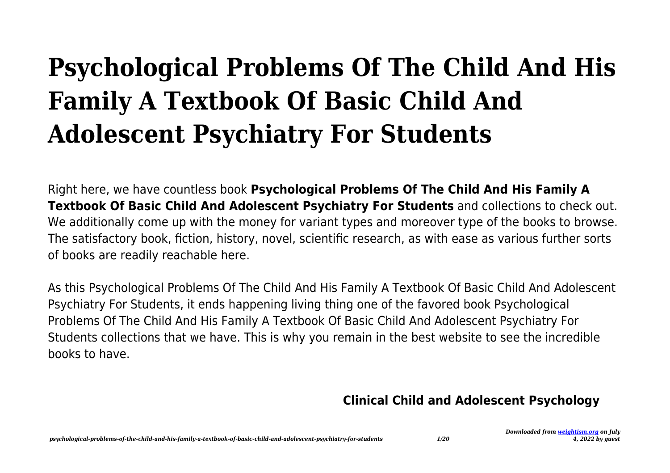# **Psychological Problems Of The Child And His Family A Textbook Of Basic Child And Adolescent Psychiatry For Students**

Right here, we have countless book **Psychological Problems Of The Child And His Family A Textbook Of Basic Child And Adolescent Psychiatry For Students** and collections to check out. We additionally come up with the money for variant types and moreover type of the books to browse. The satisfactory book, fiction, history, novel, scientific research, as with ease as various further sorts of books are readily reachable here.

As this Psychological Problems Of The Child And His Family A Textbook Of Basic Child And Adolescent Psychiatry For Students, it ends happening living thing one of the favored book Psychological Problems Of The Child And His Family A Textbook Of Basic Child And Adolescent Psychiatry For Students collections that we have. This is why you remain in the best website to see the incredible books to have.

# **Clinical Child and Adolescent Psychology**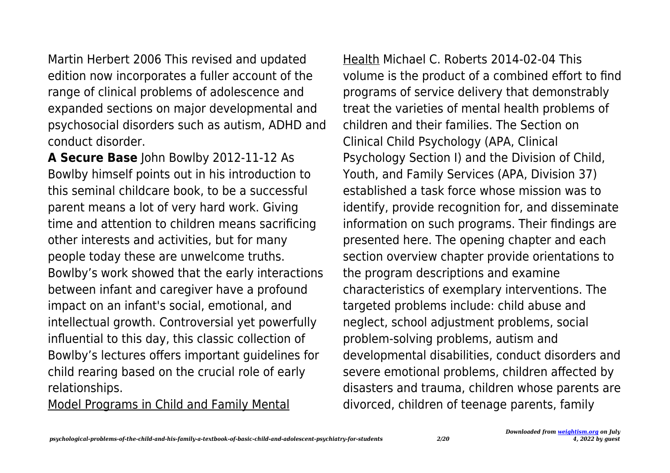Martin Herbert 2006 This revised and updated edition now incorporates a fuller account of the range of clinical problems of adolescence and expanded sections on major developmental and psychosocial disorders such as autism, ADHD and conduct disorder.

**A Secure Base** John Bowlby 2012-11-12 As Bowlby himself points out in his introduction to this seminal childcare book, to be a successful parent means a lot of very hard work. Giving time and attention to children means sacrificing other interests and activities, but for many people today these are unwelcome truths. Bowlby's work showed that the early interactions between infant and caregiver have a profound impact on an infant's social, emotional, and intellectual growth. Controversial yet powerfully influential to this day, this classic collection of Bowlby's lectures offers important guidelines for child rearing based on the crucial role of early relationships.

#### Model Programs in Child and Family Mental

Health Michael C. Roberts 2014-02-04 This volume is the product of a combined effort to find programs of service delivery that demonstrably treat the varieties of mental health problems of children and their families. The Section on Clinical Child Psychology (APA, Clinical Psychology Section I) and the Division of Child, Youth, and Family Services (APA, Division 37) established a task force whose mission was to identify, provide recognition for, and disseminate information on such programs. Their findings are presented here. The opening chapter and each section overview chapter provide orientations to the program descriptions and examine characteristics of exemplary interventions. The targeted problems include: child abuse and neglect, school adjustment problems, social problem-solving problems, autism and developmental disabilities, conduct disorders and severe emotional problems, children affected by disasters and trauma, children whose parents are divorced, children of teenage parents, family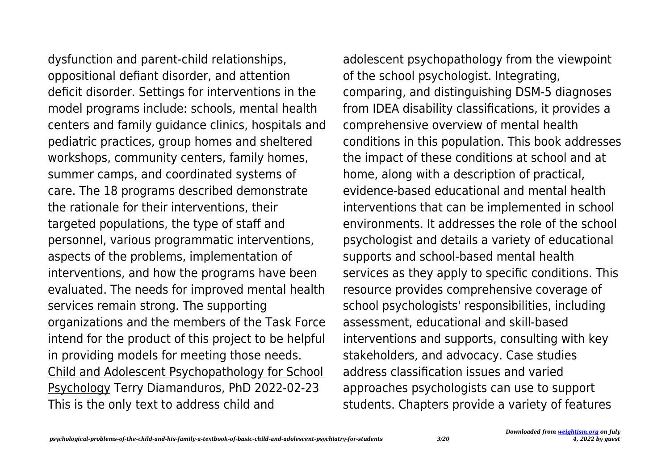dysfunction and parent-child relationships, oppositional defiant disorder, and attention deficit disorder. Settings for interventions in the model programs include: schools, mental health centers and family guidance clinics, hospitals and pediatric practices, group homes and sheltered workshops, community centers, family homes, summer camps, and coordinated systems of care. The 18 programs described demonstrate the rationale for their interventions, their targeted populations, the type of staff and personnel, various programmatic interventions, aspects of the problems, implementation of interventions, and how the programs have been evaluated. The needs for improved mental health services remain strong. The supporting organizations and the members of the Task Force intend for the product of this project to be helpful in providing models for meeting those needs. Child and Adolescent Psychopathology for School Psychology Terry Diamanduros, PhD 2022-02-23 This is the only text to address child and

adolescent psychopathology from the viewpoint of the school psychologist. Integrating, comparing, and distinguishing DSM-5 diagnoses from IDEA disability classifications, it provides a comprehensive overview of mental health conditions in this population. This book addresses the impact of these conditions at school and at home, along with a description of practical, evidence-based educational and mental health interventions that can be implemented in school environments. It addresses the role of the school psychologist and details a variety of educational supports and school-based mental health services as they apply to specific conditions. This resource provides comprehensive coverage of school psychologists' responsibilities, including assessment, educational and skill-based interventions and supports, consulting with key stakeholders, and advocacy. Case studies address classification issues and varied approaches psychologists can use to support students. Chapters provide a variety of features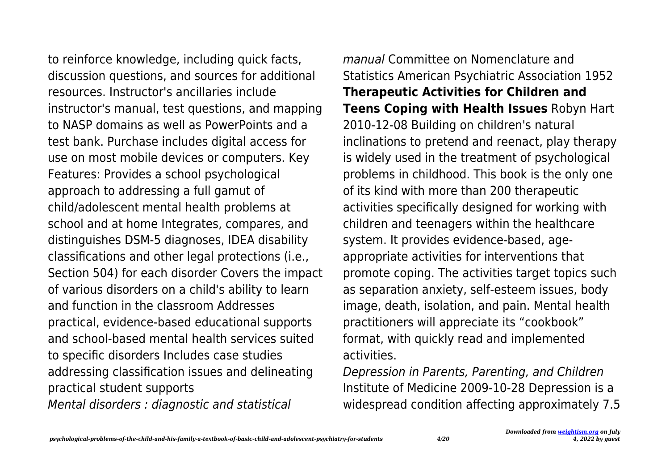to reinforce knowledge, including quick facts, discussion questions, and sources for additional resources. Instructor's ancillaries include instructor's manual, test questions, and mapping to NASP domains as well as PowerPoints and a test bank. Purchase includes digital access for use on most mobile devices or computers. Key Features: Provides a school psychological approach to addressing a full gamut of child/adolescent mental health problems at school and at home Integrates, compares, and distinguishes DSM-5 diagnoses, IDEA disability classifications and other legal protections (i.e., Section 504) for each disorder Covers the impact of various disorders on a child's ability to learn and function in the classroom Addresses practical, evidence-based educational supports and school-based mental health services suited to specific disorders Includes case studies addressing classification issues and delineating practical student supports Mental disorders : diagnostic and statistical

manual Committee on Nomenclature and Statistics American Psychiatric Association 1952 **Therapeutic Activities for Children and Teens Coping with Health Issues** Robyn Hart 2010-12-08 Building on children's natural inclinations to pretend and reenact, play therapy is widely used in the treatment of psychological problems in childhood. This book is the only one of its kind with more than 200 therapeutic activities specifically designed for working with children and teenagers within the healthcare system. It provides evidence-based, ageappropriate activities for interventions that promote coping. The activities target topics such as separation anxiety, self-esteem issues, body image, death, isolation, and pain. Mental health practitioners will appreciate its "cookbook" format, with quickly read and implemented activities.

Depression in Parents, Parenting, and Children Institute of Medicine 2009-10-28 Depression is a widespread condition affecting approximately 7.5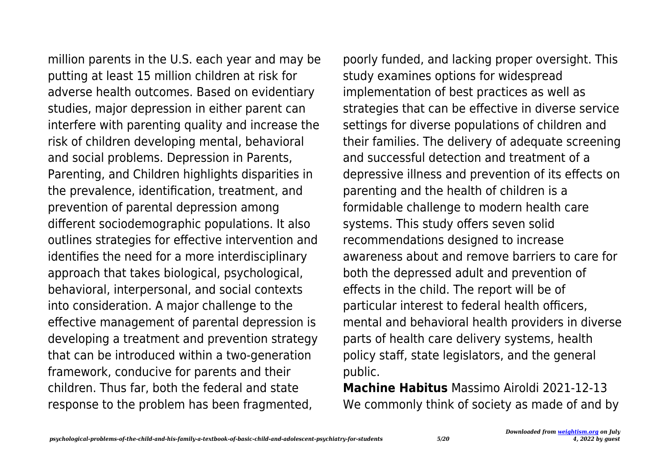million parents in the U.S. each year and may be putting at least 15 million children at risk for adverse health outcomes. Based on evidentiary studies, major depression in either parent can interfere with parenting quality and increase the risk of children developing mental, behavioral and social problems. Depression in Parents, Parenting, and Children highlights disparities in the prevalence, identification, treatment, and prevention of parental depression among different sociodemographic populations. It also outlines strategies for effective intervention and identifies the need for a more interdisciplinary approach that takes biological, psychological, behavioral, interpersonal, and social contexts into consideration. A major challenge to the effective management of parental depression is developing a treatment and prevention strategy that can be introduced within a two-generation framework, conducive for parents and their children. Thus far, both the federal and state response to the problem has been fragmented,

poorly funded, and lacking proper oversight. This study examines options for widespread implementation of best practices as well as strategies that can be effective in diverse service settings for diverse populations of children and their families. The delivery of adequate screening and successful detection and treatment of a depressive illness and prevention of its effects on parenting and the health of children is a formidable challenge to modern health care systems. This study offers seven solid recommendations designed to increase awareness about and remove barriers to care for both the depressed adult and prevention of effects in the child. The report will be of particular interest to federal health officers, mental and behavioral health providers in diverse parts of health care delivery systems, health policy staff, state legislators, and the general public.

**Machine Habitus** Massimo Airoldi 2021-12-13 We commonly think of society as made of and by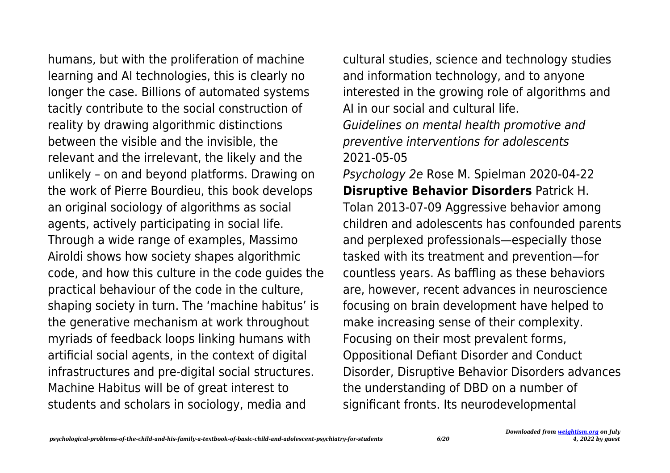humans, but with the proliferation of machine learning and AI technologies, this is clearly no longer the case. Billions of automated systems tacitly contribute to the social construction of reality by drawing algorithmic distinctions between the visible and the invisible, the relevant and the irrelevant, the likely and the unlikely – on and beyond platforms. Drawing on the work of Pierre Bourdieu, this book develops an original sociology of algorithms as social agents, actively participating in social life. Through a wide range of examples, Massimo Airoldi shows how society shapes algorithmic code, and how this culture in the code guides the practical behaviour of the code in the culture, shaping society in turn. The 'machine habitus' is the generative mechanism at work throughout myriads of feedback loops linking humans with artificial social agents, in the context of digital infrastructures and pre-digital social structures. Machine Habitus will be of great interest to students and scholars in sociology, media and

cultural studies, science and technology studies and information technology, and to anyone interested in the growing role of algorithms and AI in our social and cultural life. Guidelines on mental health promotive and preventive interventions for adolescents 2021-05-05

Psychology 2e Rose M. Spielman 2020-04-22 **Disruptive Behavior Disorders** Patrick H. Tolan 2013-07-09 Aggressive behavior among children and adolescents has confounded parents and perplexed professionals—especially those tasked with its treatment and prevention—for countless years. As baffling as these behaviors are, however, recent advances in neuroscience focusing on brain development have helped to make increasing sense of their complexity. Focusing on their most prevalent forms, Oppositional Defiant Disorder and Conduct Disorder, Disruptive Behavior Disorders advances the understanding of DBD on a number of significant fronts. Its neurodevelopmental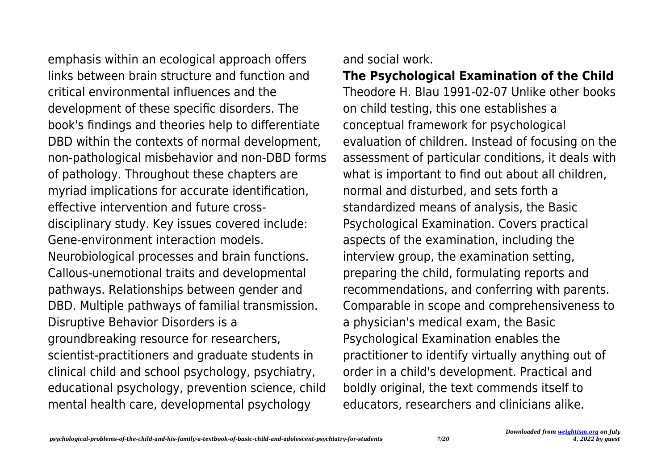emphasis within an ecological approach offers links between brain structure and function and critical environmental influences and the development of these specific disorders. The book's findings and theories help to differentiate DBD within the contexts of normal development, non-pathological misbehavior and non-DBD forms of pathology. Throughout these chapters are myriad implications for accurate identification, effective intervention and future crossdisciplinary study. Key issues covered include: Gene-environment interaction models. Neurobiological processes and brain functions. Callous-unemotional traits and developmental pathways. Relationships between gender and DBD. Multiple pathways of familial transmission. Disruptive Behavior Disorders is a groundbreaking resource for researchers, scientist-practitioners and graduate students in clinical child and school psychology, psychiatry, educational psychology, prevention science, child mental health care, developmental psychology

#### and social work.

**The Psychological Examination of the Child** Theodore H. Blau 1991-02-07 Unlike other books on child testing, this one establishes a conceptual framework for psychological evaluation of children. Instead of focusing on the assessment of particular conditions, it deals with what is important to find out about all children, normal and disturbed, and sets forth a standardized means of analysis, the Basic Psychological Examination. Covers practical aspects of the examination, including the interview group, the examination setting, preparing the child, formulating reports and recommendations, and conferring with parents. Comparable in scope and comprehensiveness to a physician's medical exam, the Basic Psychological Examination enables the practitioner to identify virtually anything out of order in a child's development. Practical and boldly original, the text commends itself to educators, researchers and clinicians alike.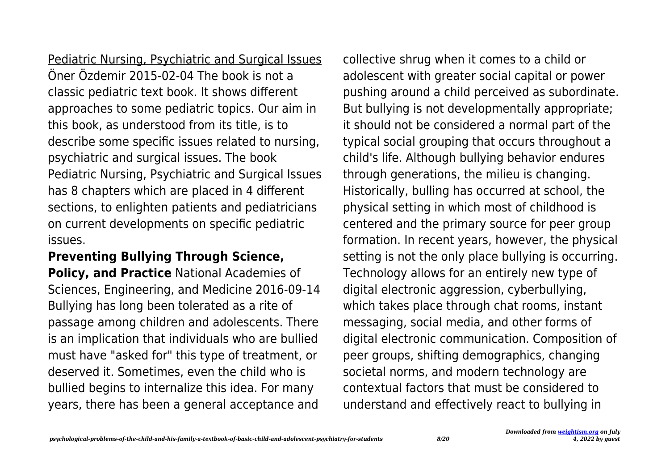Pediatric Nursing, Psychiatric and Surgical Issues Öner Özdemir 2015-02-04 The book is not a classic pediatric text book. It shows different approaches to some pediatric topics. Our aim in this book, as understood from its title, is to describe some specific issues related to nursing, psychiatric and surgical issues. The book Pediatric Nursing, Psychiatric and Surgical Issues has 8 chapters which are placed in 4 different sections, to enlighten patients and pediatricians on current developments on specific pediatric issues.

**Preventing Bullying Through Science, Policy, and Practice** National Academies of Sciences, Engineering, and Medicine 2016-09-14 Bullying has long been tolerated as a rite of passage among children and adolescents. There is an implication that individuals who are bullied must have "asked for" this type of treatment, or deserved it. Sometimes, even the child who is bullied begins to internalize this idea. For many years, there has been a general acceptance and

collective shrug when it comes to a child or adolescent with greater social capital or power pushing around a child perceived as subordinate. But bullying is not developmentally appropriate; it should not be considered a normal part of the typical social grouping that occurs throughout a child's life. Although bullying behavior endures through generations, the milieu is changing. Historically, bulling has occurred at school, the physical setting in which most of childhood is centered and the primary source for peer group formation. In recent years, however, the physical setting is not the only place bullying is occurring. Technology allows for an entirely new type of digital electronic aggression, cyberbullying, which takes place through chat rooms, instant messaging, social media, and other forms of digital electronic communication. Composition of peer groups, shifting demographics, changing societal norms, and modern technology are contextual factors that must be considered to understand and effectively react to bullying in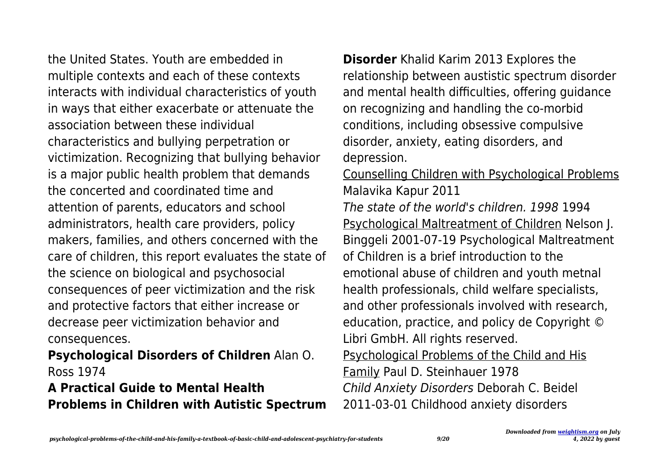the United States. Youth are embedded in multiple contexts and each of these contexts interacts with individual characteristics of youth in ways that either exacerbate or attenuate the association between these individual characteristics and bullying perpetration or victimization. Recognizing that bullying behavior is a major public health problem that demands the concerted and coordinated time and attention of parents, educators and school administrators, health care providers, policy makers, families, and others concerned with the care of children, this report evaluates the state of the science on biological and psychosocial consequences of peer victimization and the risk and protective factors that either increase or decrease peer victimization behavior and consequences.

**Psychological Disorders of Children** Alan O. Ross 1974

# **A Practical Guide to Mental Health Problems in Children with Autistic Spectrum**

**Disorder** Khalid Karim 2013 Explores the relationship between austistic spectrum disorder and mental health difficulties, offering guidance on recognizing and handling the co-morbid conditions, including obsessive compulsive disorder, anxiety, eating disorders, and depression.

Counselling Children with Psychological Problems Malavika Kapur 2011 The state of the world's children. 1998 1994 Psychological Maltreatment of Children Nelson J. Binggeli 2001-07-19 Psychological Maltreatment of Children is a brief introduction to the emotional abuse of children and youth metnal health professionals, child welfare specialists, and other professionals involved with research, education, practice, and policy de Copyright © Libri GmbH. All rights reserved. Psychological Problems of the Child and His Family Paul D. Steinhauer 1978 Child Anxiety Disorders Deborah C. Beidel 2011-03-01 Childhood anxiety disorders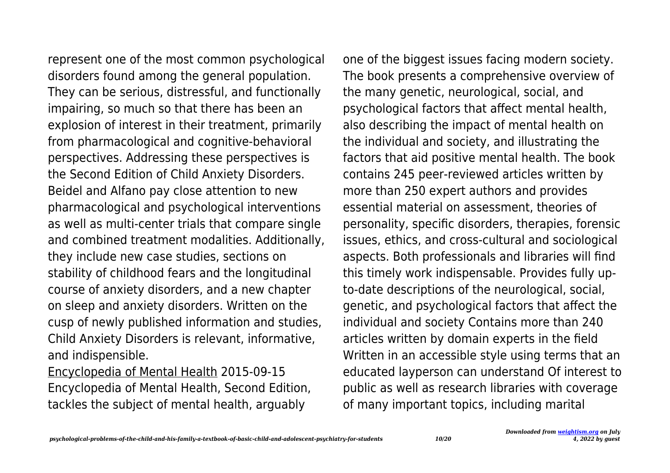represent one of the most common psychological disorders found among the general population. They can be serious, distressful, and functionally impairing, so much so that there has been an explosion of interest in their treatment, primarily from pharmacological and cognitive-behavioral perspectives. Addressing these perspectives is the Second Edition of Child Anxiety Disorders. Beidel and Alfano pay close attention to new pharmacological and psychological interventions as well as multi-center trials that compare single and combined treatment modalities. Additionally, they include new case studies, sections on stability of childhood fears and the longitudinal course of anxiety disorders, and a new chapter on sleep and anxiety disorders. Written on the cusp of newly published information and studies, Child Anxiety Disorders is relevant, informative, and indispensible.

Encyclopedia of Mental Health 2015-09-15 Encyclopedia of Mental Health, Second Edition, tackles the subject of mental health, arguably

one of the biggest issues facing modern society. The book presents a comprehensive overview of the many genetic, neurological, social, and psychological factors that affect mental health, also describing the impact of mental health on the individual and society, and illustrating the factors that aid positive mental health. The book contains 245 peer-reviewed articles written by more than 250 expert authors and provides essential material on assessment, theories of personality, specific disorders, therapies, forensic issues, ethics, and cross-cultural and sociological aspects. Both professionals and libraries will find this timely work indispensable. Provides fully upto-date descriptions of the neurological, social, genetic, and psychological factors that affect the individual and society Contains more than 240 articles written by domain experts in the field Written in an accessible style using terms that an educated layperson can understand Of interest to public as well as research libraries with coverage of many important topics, including marital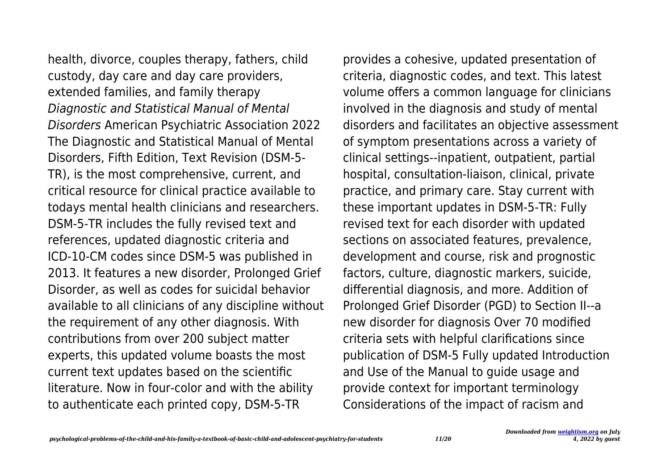health, divorce, couples therapy, fathers, child custody, day care and day care providers, extended families, and family therapy Diagnostic and Statistical Manual of Mental Disorders American Psychiatric Association 2022 The Diagnostic and Statistical Manual of Mental Disorders, Fifth Edition, Text Revision (DSM-5- TR), is the most comprehensive, current, and critical resource for clinical practice available to todays mental health clinicians and researchers. DSM-5-TR includes the fully revised text and references, updated diagnostic criteria and ICD-10-CM codes since DSM-5 was published in 2013. It features a new disorder, Prolonged Grief Disorder, as well as codes for suicidal behavior available to all clinicians of any discipline without the requirement of any other diagnosis. With contributions from over 200 subject matter experts, this updated volume boasts the most current text updates based on the scientific literature. Now in four-color and with the ability to authenticate each printed copy, DSM-5-TR

provides a cohesive, updated presentation of criteria, diagnostic codes, and text. This latest volume offers a common language for clinicians involved in the diagnosis and study of mental disorders and facilitates an objective assessment of symptom presentations across a variety of clinical settings--inpatient, outpatient, partial hospital, consultation-liaison, clinical, private practice, and primary care. Stay current with these important updates in DSM-5-TR: Fully revised text for each disorder with updated sections on associated features, prevalence, development and course, risk and prognostic factors, culture, diagnostic markers, suicide, differential diagnosis, and more. Addition of Prolonged Grief Disorder (PGD) to Section II--a new disorder for diagnosis Over 70 modified criteria sets with helpful clarifications since publication of DSM-5 Fully updated Introduction and Use of the Manual to guide usage and provide context for important terminology Considerations of the impact of racism and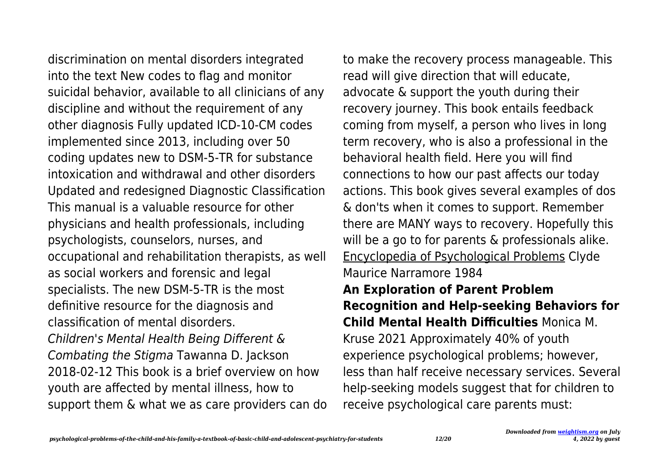discrimination on mental disorders integrated into the text New codes to flag and monitor suicidal behavior, available to all clinicians of any discipline and without the requirement of any other diagnosis Fully updated ICD-10-CM codes implemented since 2013, including over 50 coding updates new to DSM-5-TR for substance intoxication and withdrawal and other disorders Updated and redesigned Diagnostic Classification This manual is a valuable resource for other physicians and health professionals, including psychologists, counselors, nurses, and occupational and rehabilitation therapists, as well as social workers and forensic and legal specialists. The new DSM-5-TR is the most definitive resource for the diagnosis and classification of mental disorders. Children's Mental Health Being Different & Combating the Stigma Tawanna D. Jackson 2018-02-12 This book is a brief overview on how youth are affected by mental illness, how to support them & what we as care providers can do to make the recovery process manageable. This read will give direction that will educate, advocate & support the youth during their recovery journey. This book entails feedback coming from myself, a person who lives in long term recovery, who is also a professional in the behavioral health field. Here you will find connections to how our past affects our today actions. This book gives several examples of dos & don'ts when it comes to support. Remember there are MANY ways to recovery. Hopefully this will be a go to for parents & professionals alike. Encyclopedia of Psychological Problems Clyde Maurice Narramore 1984 **An Exploration of Parent Problem Recognition and Help-seeking Behaviors for Child Mental Health Difficulties** Monica M. Kruse 2021 Approximately 40% of youth experience psychological problems; however, less than half receive necessary services. Several help-seeking models suggest that for children to receive psychological care parents must: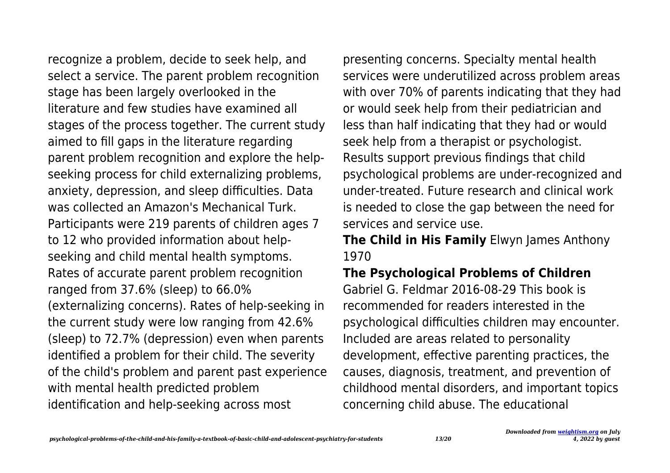recognize a problem, decide to seek help, and select a service. The parent problem recognition stage has been largely overlooked in the literature and few studies have examined all stages of the process together. The current study aimed to fill gaps in the literature regarding parent problem recognition and explore the helpseeking process for child externalizing problems, anxiety, depression, and sleep difficulties. Data was collected an Amazon's Mechanical Turk. Participants were 219 parents of children ages 7 to 12 who provided information about helpseeking and child mental health symptoms. Rates of accurate parent problem recognition ranged from 37.6% (sleep) to 66.0% (externalizing concerns). Rates of help-seeking in the current study were low ranging from 42.6% (sleep) to 72.7% (depression) even when parents identified a problem for their child. The severity of the child's problem and parent past experience with mental health predicted problem identification and help-seeking across most

presenting concerns. Specialty mental health services were underutilized across problem areas with over 70% of parents indicating that they had or would seek help from their pediatrician and less than half indicating that they had or would seek help from a therapist or psychologist. Results support previous findings that child psychological problems are under-recognized and under-treated. Future research and clinical work is needed to close the gap between the need for services and service use.

**The Child in His Family** Elwyn James Anthony 1970

#### **The Psychological Problems of Children**

Gabriel G. Feldmar 2016-08-29 This book is recommended for readers interested in the psychological difficulties children may encounter. Included are areas related to personality development, effective parenting practices, the causes, diagnosis, treatment, and prevention of childhood mental disorders, and important topics concerning child abuse. The educational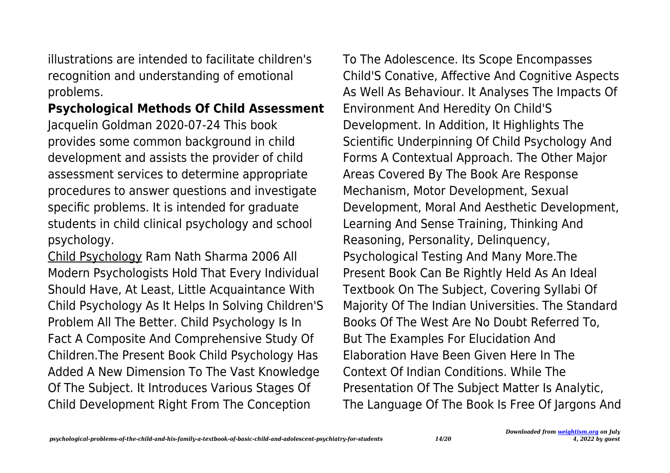illustrations are intended to facilitate children's recognition and understanding of emotional problems.

# **Psychological Methods Of Child Assessment**

Jacquelin Goldman 2020-07-24 This book provides some common background in child development and assists the provider of child assessment services to determine appropriate procedures to answer questions and investigate specific problems. It is intended for graduate students in child clinical psychology and school psychology.

Child Psychology Ram Nath Sharma 2006 All Modern Psychologists Hold That Every Individual Should Have, At Least, Little Acquaintance With Child Psychology As It Helps In Solving Children'S Problem All The Better. Child Psychology Is In Fact A Composite And Comprehensive Study Of Children.The Present Book Child Psychology Has Added A New Dimension To The Vast Knowledge Of The Subject. It Introduces Various Stages Of Child Development Right From The Conception

To The Adolescence. Its Scope Encompasses Child'S Conative, Affective And Cognitive Aspects As Well As Behaviour. It Analyses The Impacts Of Environment And Heredity On Child'S Development. In Addition, It Highlights The Scientific Underpinning Of Child Psychology And Forms A Contextual Approach. The Other Major Areas Covered By The Book Are Response Mechanism, Motor Development, Sexual Development, Moral And Aesthetic Development, Learning And Sense Training, Thinking And Reasoning, Personality, Delinquency, Psychological Testing And Many More.The Present Book Can Be Rightly Held As An Ideal Textbook On The Subject, Covering Syllabi Of Majority Of The Indian Universities. The Standard Books Of The West Are No Doubt Referred To, But The Examples For Elucidation And Elaboration Have Been Given Here In The Context Of Indian Conditions. While The Presentation Of The Subject Matter Is Analytic, The Language Of The Book Is Free Of Jargons And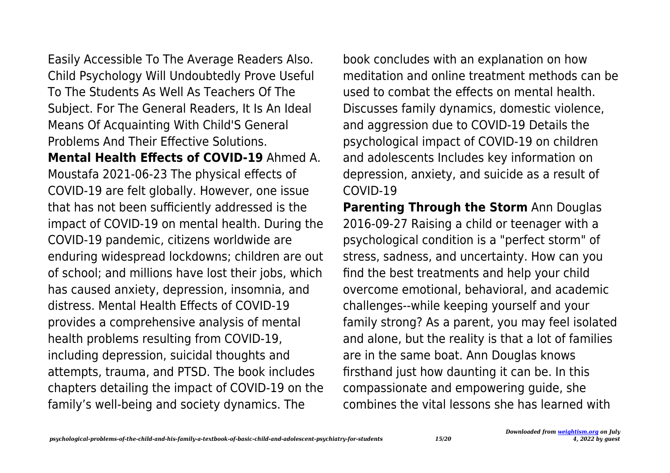Easily Accessible To The Average Readers Also. Child Psychology Will Undoubtedly Prove Useful To The Students As Well As Teachers Of The Subject. For The General Readers, It Is An Ideal Means Of Acquainting With Child'S General Problems And Their Effective Solutions.

**Mental Health Effects of COVID-19** Ahmed A. Moustafa 2021-06-23 The physical effects of COVID-19 are felt globally. However, one issue that has not been sufficiently addressed is the impact of COVID-19 on mental health. During the COVID-19 pandemic, citizens worldwide are enduring widespread lockdowns; children are out of school; and millions have lost their jobs, which has caused anxiety, depression, insomnia, and distress. Mental Health Effects of COVID-19 provides a comprehensive analysis of mental health problems resulting from COVID-19, including depression, suicidal thoughts and attempts, trauma, and PTSD. The book includes chapters detailing the impact of COVID-19 on the family's well-being and society dynamics. The

book concludes with an explanation on how meditation and online treatment methods can be used to combat the effects on mental health. Discusses family dynamics, domestic violence, and aggression due to COVID-19 Details the psychological impact of COVID-19 on children and adolescents Includes key information on depression, anxiety, and suicide as a result of COVID-19

**Parenting Through the Storm** Ann Douglas 2016-09-27 Raising a child or teenager with a psychological condition is a "perfect storm" of stress, sadness, and uncertainty. How can you find the best treatments and help your child overcome emotional, behavioral, and academic challenges--while keeping yourself and your family strong? As a parent, you may feel isolated and alone, but the reality is that a lot of families are in the same boat. Ann Douglas knows firsthand just how daunting it can be. In this compassionate and empowering guide, she combines the vital lessons she has learned with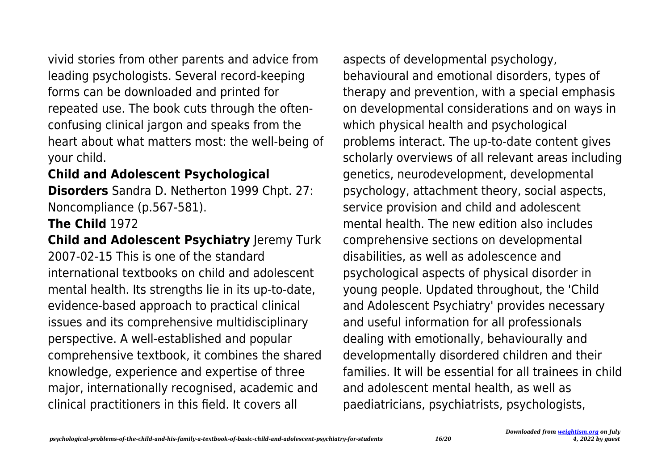vivid stories from other parents and advice from leading psychologists. Several record-keeping forms can be downloaded and printed for repeated use. The book cuts through the oftenconfusing clinical jargon and speaks from the heart about what matters most: the well-being of your child.

# **Child and Adolescent Psychological**

**Disorders** Sandra D. Netherton 1999 Chpt. 27: Noncompliance (p.567-581).

## **The Child** 1972

**Child and Adolescent Psychiatry Jeremy Turk** 2007-02-15 This is one of the standard international textbooks on child and adolescent mental health. Its strengths lie in its up-to-date, evidence-based approach to practical clinical issues and its comprehensive multidisciplinary perspective. A well-established and popular comprehensive textbook, it combines the shared knowledge, experience and expertise of three major, internationally recognised, academic and clinical practitioners in this field. It covers all

aspects of developmental psychology, behavioural and emotional disorders, types of therapy and prevention, with a special emphasis on developmental considerations and on ways in which physical health and psychological problems interact. The up-to-date content gives scholarly overviews of all relevant areas including genetics, neurodevelopment, developmental psychology, attachment theory, social aspects, service provision and child and adolescent mental health. The new edition also includes comprehensive sections on developmental disabilities, as well as adolescence and psychological aspects of physical disorder in young people. Updated throughout, the 'Child and Adolescent Psychiatry' provides necessary and useful information for all professionals dealing with emotionally, behaviourally and developmentally disordered children and their families. It will be essential for all trainees in child and adolescent mental health, as well as paediatricians, psychiatrists, psychologists,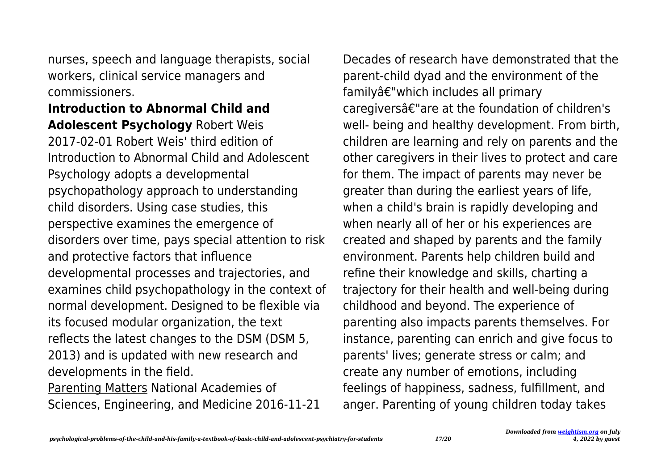nurses, speech and language therapists, social workers, clinical service managers and commissioners.

### **Introduction to Abnormal Child and Adolescent Psychology** Robert Weis

2017-02-01 Robert Weis' third edition of Introduction to Abnormal Child and Adolescent Psychology adopts a developmental psychopathology approach to understanding child disorders. Using case studies, this perspective examines the emergence of disorders over time, pays special attention to risk and protective factors that influence developmental processes and trajectories, and examines child psychopathology in the context of normal development. Designed to be flexible via its focused modular organization, the text reflects the latest changes to the DSM (DSM 5, 2013) and is updated with new research and developments in the field. Parenting Matters National Academies of Sciences, Engineering, and Medicine 2016-11-21

Decades of research have demonstrated that the parent-child dyad and the environment of the familyâ€"which includes all primary caregiversâ€"are at the foundation of children's well- being and healthy development. From birth, children are learning and rely on parents and the other caregivers in their lives to protect and care for them. The impact of parents may never be greater than during the earliest years of life, when a child's brain is rapidly developing and when nearly all of her or his experiences are created and shaped by parents and the family environment. Parents help children build and refine their knowledge and skills, charting a trajectory for their health and well-being during childhood and beyond. The experience of parenting also impacts parents themselves. For instance, parenting can enrich and give focus to parents' lives; generate stress or calm; and create any number of emotions, including feelings of happiness, sadness, fulfillment, and anger. Parenting of young children today takes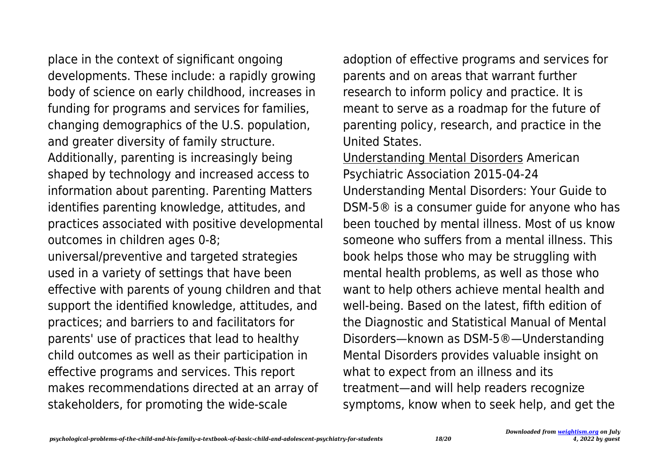place in the context of significant ongoing developments. These include: a rapidly growing body of science on early childhood, increases in funding for programs and services for families, changing demographics of the U.S. population, and greater diversity of family structure. Additionally, parenting is increasingly being shaped by technology and increased access to information about parenting. Parenting Matters identifies parenting knowledge, attitudes, and practices associated with positive developmental outcomes in children ages 0-8;

universal/preventive and targeted strategies used in a variety of settings that have been effective with parents of young children and that support the identified knowledge, attitudes, and practices; and barriers to and facilitators for parents' use of practices that lead to healthy child outcomes as well as their participation in effective programs and services. This report makes recommendations directed at an array of stakeholders, for promoting the wide-scale

adoption of effective programs and services for parents and on areas that warrant further research to inform policy and practice. It is meant to serve as a roadmap for the future of parenting policy, research, and practice in the United States.

Understanding Mental Disorders American Psychiatric Association 2015-04-24 Understanding Mental Disorders: Your Guide to DSM-5® is a consumer guide for anyone who has been touched by mental illness. Most of us know someone who suffers from a mental illness. This book helps those who may be struggling with mental health problems, as well as those who want to help others achieve mental health and well-being. Based on the latest, fifth edition of the Diagnostic and Statistical Manual of Mental Disorders—known as DSM-5®—Understanding Mental Disorders provides valuable insight on what to expect from an illness and its treatment—and will help readers recognize symptoms, know when to seek help, and get the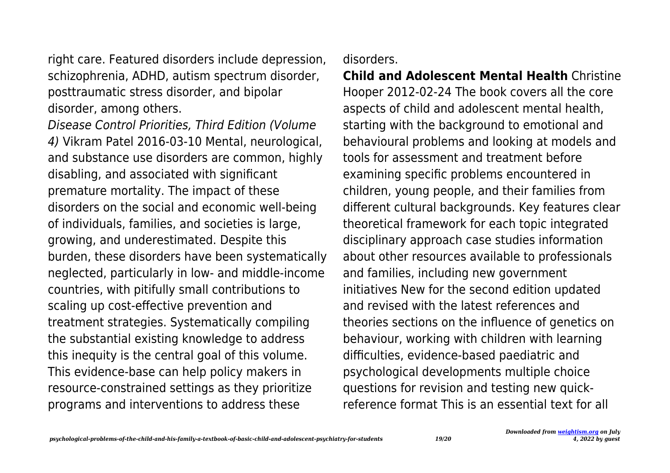right care. Featured disorders include depression, schizophrenia, ADHD, autism spectrum disorder, posttraumatic stress disorder, and bipolar disorder, among others.

Disease Control Priorities, Third Edition (Volume 4) Vikram Patel 2016-03-10 Mental, neurological, and substance use disorders are common, highly disabling, and associated with significant premature mortality. The impact of these disorders on the social and economic well-being of individuals, families, and societies is large, growing, and underestimated. Despite this burden, these disorders have been systematically neglected, particularly in low- and middle-income countries, with pitifully small contributions to scaling up cost-effective prevention and treatment strategies. Systematically compiling the substantial existing knowledge to address this inequity is the central goal of this volume. This evidence-base can help policy makers in resource-constrained settings as they prioritize programs and interventions to address these

disorders.

**Child and Adolescent Mental Health** Christine Hooper 2012-02-24 The book covers all the core aspects of child and adolescent mental health, starting with the background to emotional and behavioural problems and looking at models and tools for assessment and treatment before examining specific problems encountered in children, young people, and their families from different cultural backgrounds. Key features clear theoretical framework for each topic integrated disciplinary approach case studies information about other resources available to professionals and families, including new government initiatives New for the second edition updated and revised with the latest references and theories sections on the influence of genetics on behaviour, working with children with learning difficulties, evidence-based paediatric and psychological developments multiple choice questions for revision and testing new quickreference format This is an essential text for all